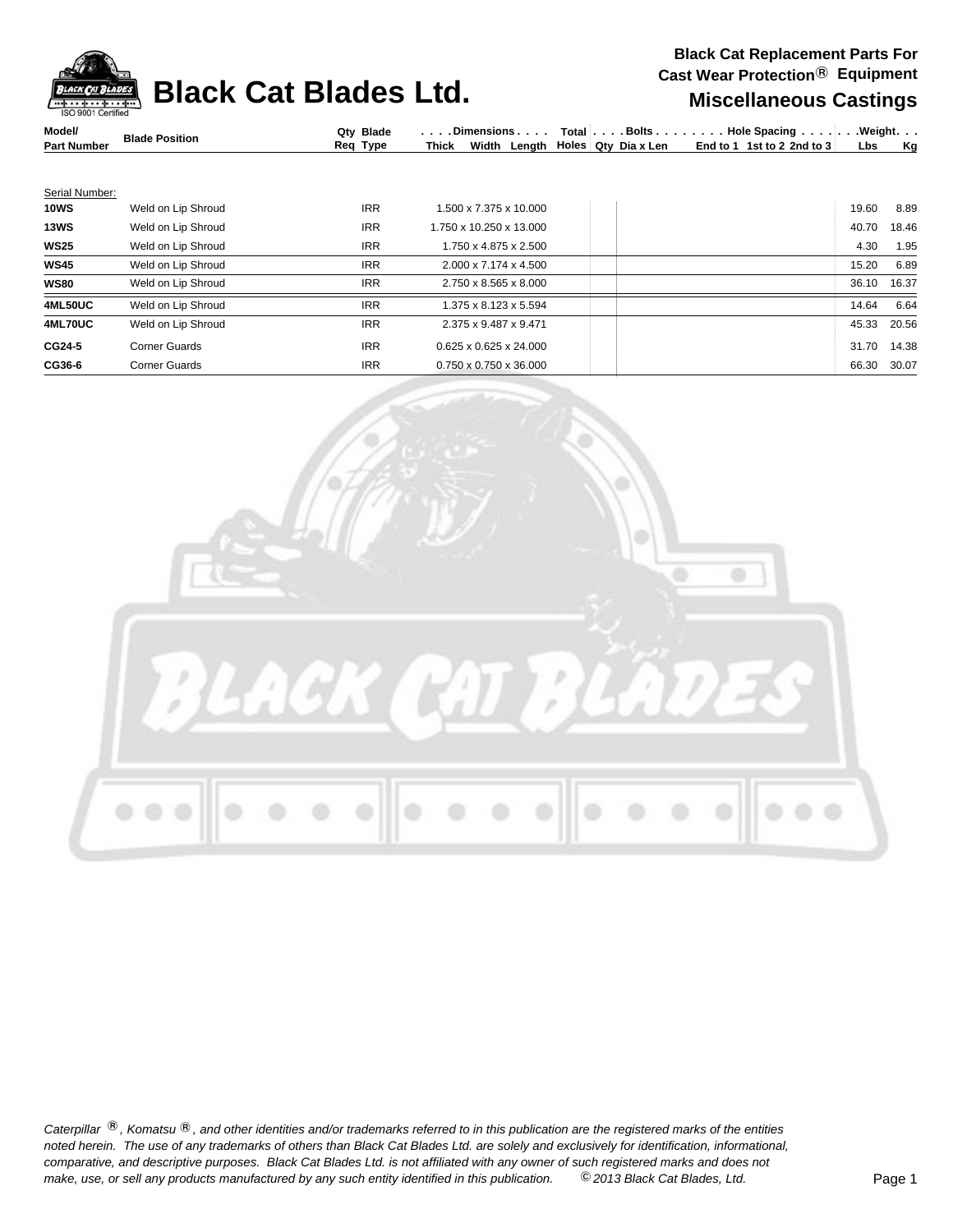**Black Cat Blades Ltd.** Miscellaneous Castings



| Model/             | <b>Blade Position</b> | Qtv Blade |              | $D$ imensions $\ldots$ . |  |                                  | Total Bolts Hole Spacing Weight. |     |    |
|--------------------|-----------------------|-----------|--------------|--------------------------|--|----------------------------------|----------------------------------|-----|----|
| <b>Part Number</b> |                       | Req Type  | <b>Thick</b> |                          |  | Width Length Holes Qty Dia x Len | End to 1 1st to 2 2nd to 3       | Lbs | Ka |
|                    |                       |           |              |                          |  |                                  |                                  |     |    |
|                    |                       |           |              |                          |  |                                  |                                  |     |    |

| Serial Number: |                      |            |                                    |  |       |       |
|----------------|----------------------|------------|------------------------------------|--|-------|-------|
| <b>10WS</b>    | Weld on Lip Shroud   | <b>IRR</b> | 1.500 x 7.375 x 10.000             |  | 19.60 | 8.89  |
| <b>13WS</b>    | Weld on Lip Shroud   | <b>IRR</b> | 1.750 x 10.250 x 13.000            |  | 40.70 | 18.46 |
| <b>WS25</b>    | Weld on Lip Shroud   | <b>IRR</b> | 1.750 x 4.875 x 2.500              |  | 4.30  | 1.95  |
| <b>WS45</b>    | Weld on Lip Shroud   | <b>IRR</b> | 2.000 x 7.174 x 4.500              |  | 15.20 | 6.89  |
| <b>WS80</b>    | Weld on Lip Shroud   | <b>IRR</b> | 2.750 x 8.565 x 8.000              |  | 36.10 | 16.37 |
| 4ML50UC        | Weld on Lip Shroud   | <b>IRR</b> | 1.375 x 8.123 x 5.594              |  | 14.64 | 6.64  |
| <b>4ML70UC</b> | Weld on Lip Shroud   | <b>IRR</b> | 2.375 x 9.487 x 9.471              |  | 45.33 | 20.56 |
| CG24-5         | <b>Corner Guards</b> | <b>IRR</b> | $0.625 \times 0.625 \times 24.000$ |  | 31.70 | 14.38 |
| CG36-6         | <b>Corner Guards</b> | <b>IRR</b> | $0.750 \times 0.750 \times 36.000$ |  | 66.30 | 30.07 |
|                |                      |            |                                    |  |       |       |



Caterpillar ®, Komatsu ®, and other identities and/or trademarks referred to in this publication are the registered marks of the entities *noted herein. The use of any trademarks of others than Black Cat Blades Ltd. are solely and exclusively for identification, informational, make, use, or sell any products manufactured by any such entity identified in this publication. comparative, and descriptive purposes. Black Cat Blades Ltd. is not affiliated with any owner of such registered marks and does not* ©*2013 Black Cat Blades, Ltd.* Page 1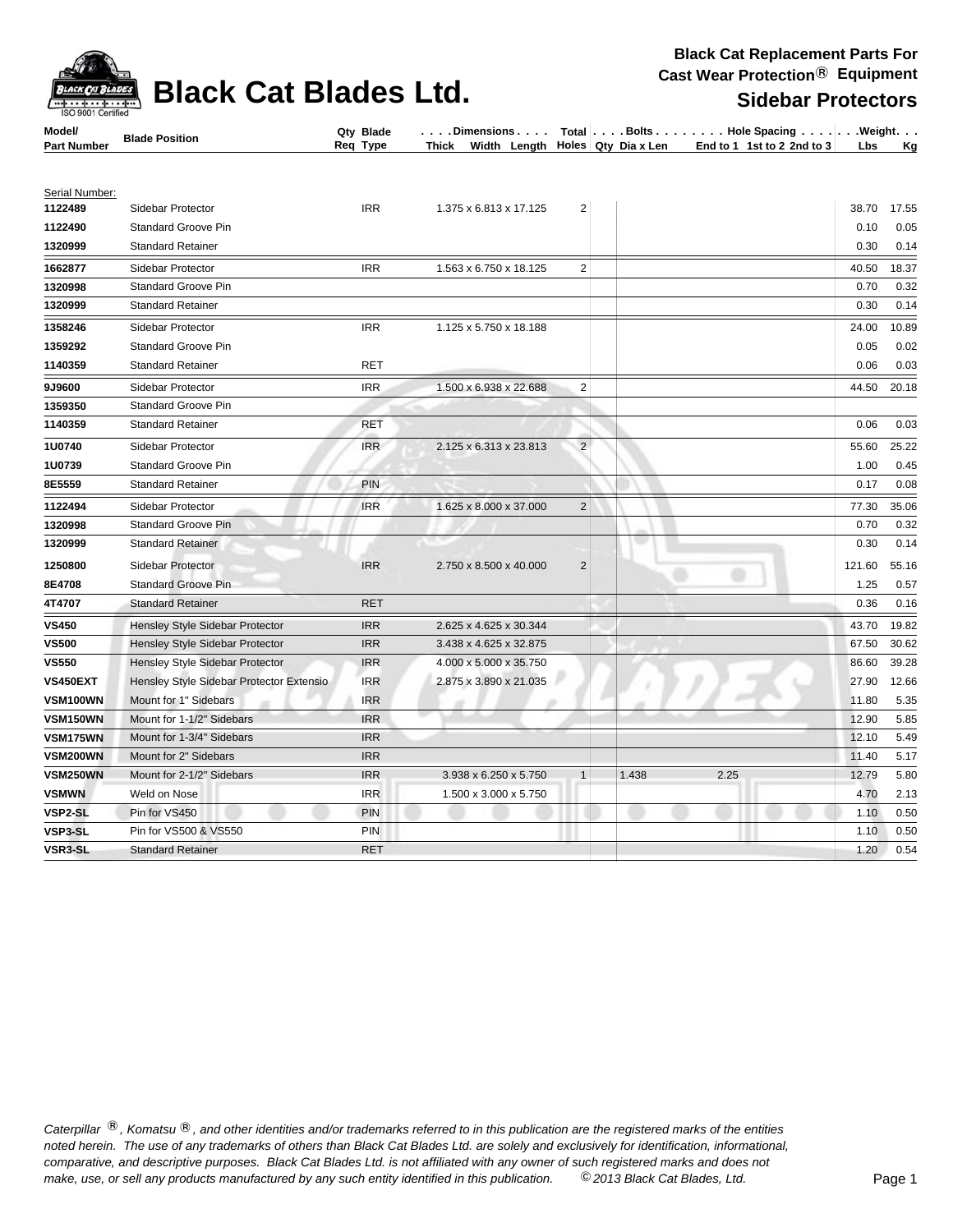| Model/             | <b>Blade Position</b>                    | Qty Blade  | . Dimensions                                     |                         |       |      | Total $\vert \ldots$ . Bolts $\ldots \vert \ldots$ . Hole Spacing $\ldots \vert \ldots$ . Weight. $\ldots$ |        |           |
|--------------------|------------------------------------------|------------|--------------------------------------------------|-------------------------|-------|------|------------------------------------------------------------------------------------------------------------|--------|-----------|
| <b>Part Number</b> |                                          | Req Type   | Width Length Holes Qty Dia x Len<br><b>Thick</b> |                         |       |      | End to 1 1st to 2 2nd to 3                                                                                 | Lbs    | <u>Kg</u> |
|                    |                                          |            |                                                  |                         |       |      |                                                                                                            |        |           |
| Serial Number:     |                                          |            |                                                  |                         |       |      |                                                                                                            |        |           |
| 1122489            | Sidebar Protector                        | <b>IRR</b> | 1.375 x 6.813 x 17.125                           | $\overline{2}$          |       |      |                                                                                                            | 38.70  | 17.55     |
| 1122490            | <b>Standard Groove Pin</b>               |            |                                                  |                         |       |      |                                                                                                            | 0.10   | 0.05      |
| 1320999            | <b>Standard Retainer</b>                 |            |                                                  |                         |       |      |                                                                                                            | 0.30   | 0.14      |
| 1662877            | Sidebar Protector                        | <b>IRR</b> | 1.563 x 6.750 x 18.125                           | 2                       |       |      |                                                                                                            | 40.50  | 18.37     |
| 1320998            | <b>Standard Groove Pin</b>               |            |                                                  |                         |       |      |                                                                                                            | 0.70   | 0.32      |
| 1320999            | <b>Standard Retainer</b>                 |            |                                                  |                         |       |      |                                                                                                            | 0.30   | 0.14      |
| 1358246            | Sidebar Protector                        | <b>IRR</b> | 1.125 x 5.750 x 18.188                           |                         |       |      |                                                                                                            | 24.00  | 10.89     |
| 1359292            | <b>Standard Groove Pin</b>               |            |                                                  |                         |       |      |                                                                                                            | 0.05   | 0.02      |
| 1140359            | <b>Standard Retainer</b>                 | <b>RET</b> |                                                  |                         |       |      |                                                                                                            | 0.06   | 0.03      |
| 9J9600             | Sidebar Protector                        | <b>IRR</b> | 1.500 x 6.938 x 22.688                           | $\overline{\mathbf{c}}$ |       |      |                                                                                                            | 44.50  | 20.18     |
| 1359350            | <b>Standard Groove Pin</b>               |            |                                                  |                         |       |      |                                                                                                            |        |           |
| 1140359            | <b>Standard Retainer</b>                 | <b>RET</b> |                                                  |                         |       |      |                                                                                                            | 0.06   | 0.03      |
| 1U0740             | Sidebar Protector                        | <b>IRR</b> | 2.125 x 6.313 x 23.813                           | $\overline{2}$          |       |      |                                                                                                            | 55.60  | 25.22     |
| 1U0739             | Standard Groove Pin                      |            |                                                  |                         |       |      |                                                                                                            | 1.00   | 0.45      |
| 8E5559             | <b>Standard Retainer</b>                 | <b>PIN</b> |                                                  |                         |       |      |                                                                                                            | 0.17   | 0.08      |
| 1122494            | Sidebar Protector                        | <b>IRR</b> | 1.625 x 8.000 x 37.000                           | $\mathbf 2$             |       |      |                                                                                                            | 77.30  | 35.06     |
| 1320998            | <b>Standard Groove Pin</b>               |            |                                                  |                         |       |      |                                                                                                            | 0.70   | 0.32      |
| 1320999            | <b>Standard Retainer</b>                 |            |                                                  |                         | w     |      |                                                                                                            | 0.30   | 0.14      |
| 1250800            | Sidebar Protector                        | <b>IRR</b> | 2.750 x 8.500 x 40.000                           | $\overline{2}$          |       |      |                                                                                                            | 121.60 | 55.16     |
| 8E4708             | <b>Standard Groove Pin</b>               |            |                                                  |                         |       |      |                                                                                                            | 1.25   | 0.57      |
| 4T4707             | <b>Standard Retainer</b>                 | <b>RET</b> |                                                  |                         |       |      |                                                                                                            | 0.36   | 0.16      |
| <b>VS450</b>       | Hensley Style Sidebar Protector          | <b>IRR</b> | 2.625 x 4.625 x 30.344                           |                         |       |      |                                                                                                            | 43.70  | 19.82     |
| <b>VS500</b>       | Hensley Style Sidebar Protector          | <b>IRR</b> | 3.438 x 4.625 x 32.875                           |                         |       |      |                                                                                                            | 67.50  | 30.62     |
| <b>VS550</b>       | Hensley Style Sidebar Protector          | <b>IRR</b> | 4.000 x 5.000 x 35.750                           |                         |       |      |                                                                                                            | 86.60  | 39.28     |
| VS450EXT           | Hensley Style Sidebar Protector Extensio | <b>IRR</b> | 2.875 x 3.890 x 21.035                           |                         |       |      |                                                                                                            | 27.90  | 12.66     |
| VSM100WN           | Mount for 1" Sidebars                    | <b>IRR</b> |                                                  |                         |       |      | w                                                                                                          | 11.80  | 5.35      |
| <b>VSM150WN</b>    | Mount for 1-1/2" Sidebars                | <b>IRR</b> |                                                  |                         |       |      |                                                                                                            | 12.90  | 5.85      |
| <b>VSM175WN</b>    | Mount for 1-3/4" Sidebars                | <b>IRR</b> |                                                  |                         |       |      |                                                                                                            | 12.10  | 5.49      |
| VSM200WN           | Mount for 2" Sidebars                    | <b>IRR</b> |                                                  |                         |       |      |                                                                                                            | 11.40  | 5.17      |
| <b>VSM250WN</b>    | Mount for 2-1/2" Sidebars                | <b>IRR</b> | 3.938 x 6.250 x 5.750                            | $\mathbf{1}$            | 1.438 | 2.25 |                                                                                                            | 12.79  | 5.80      |
| <b>VSMWN</b>       | Weld on Nose                             | <b>IRR</b> | 1.500 x 3.000 x 5.750                            |                         |       |      |                                                                                                            | 4.70   | 2.13      |
| VSP2-SL            | Pin for VS450                            | <b>PIN</b> |                                                  |                         |       |      |                                                                                                            | 1.10   | 0.50      |
| VSP3-SL            | Pin for VS500 & VS550                    | <b>PIN</b> |                                                  |                         |       |      |                                                                                                            | 1.10   | 0.50      |
| VSR3-SL            | <b>Standard Retainer</b>                 | <b>RET</b> |                                                  |                         |       |      |                                                                                                            | 1.20   | 0.54      |

Caterpillar ®, Komatsu ®, and other identities and/or trademarks referred to in this publication are the registered marks of the entities *noted herein. The use of any trademarks of others than Black Cat Blades Ltd. are solely and exclusively for identification, informational, make, use, or sell any products manufactured by any such entity identified in this publication. comparative, and descriptive purposes. Black Cat Blades Ltd. is not affiliated with any owner of such registered marks and does not* ©*2013 Black Cat Blades, Ltd.* Page 1



## **Black Cat Blades Ltd.** Sidebar Protection School Cast Dequipment

**Blade Qty . . . . . . . . Bolts**

**. . . . . . . . Hole Spacing . . . . . . Weight**